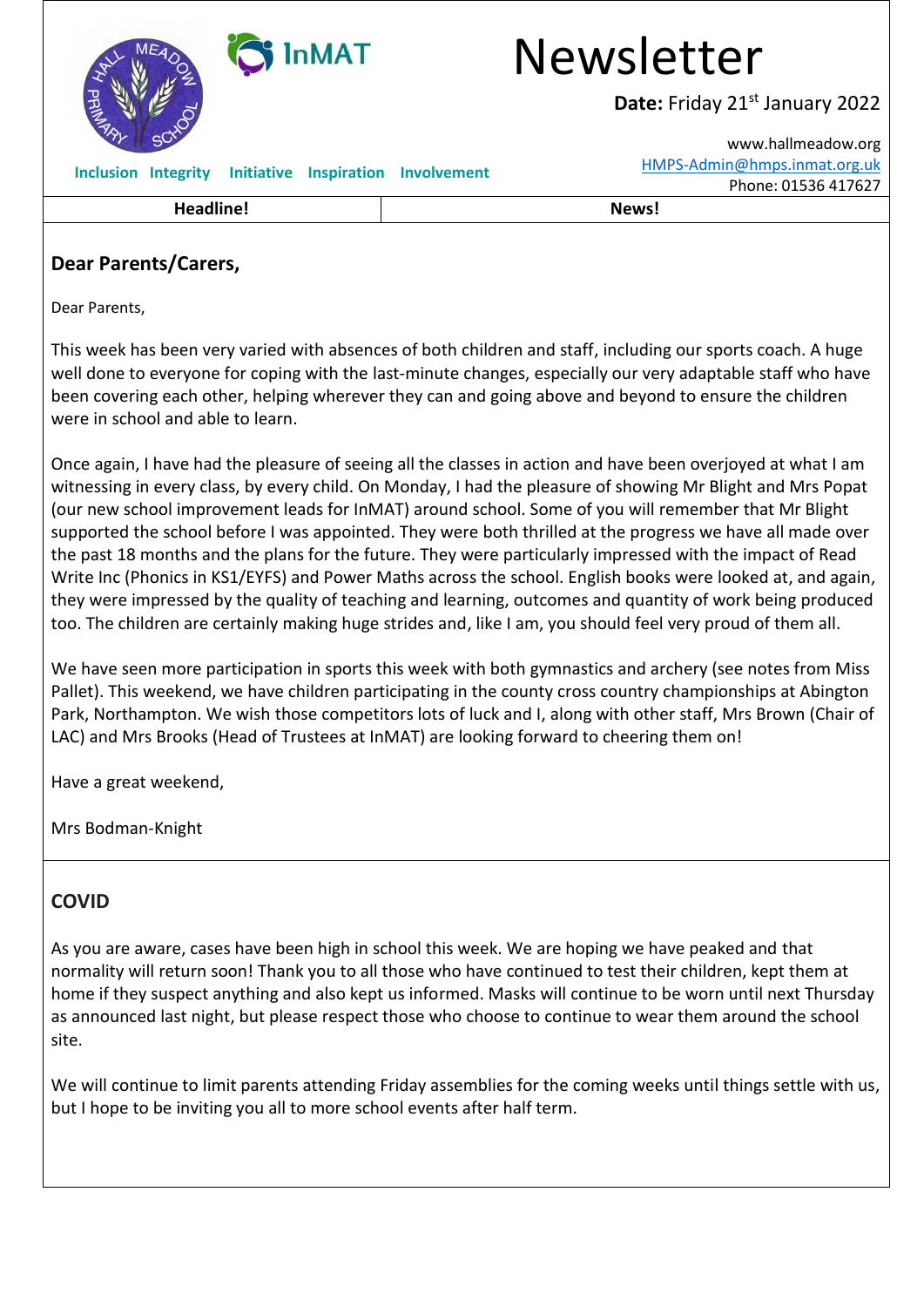

### **Dear Parents/Carers,**

Dear Parents,

This week has been very varied with absences of both children and staff, including our sports coach. A huge well done to everyone for coping with the last-minute changes, especially our very adaptable staff who have been covering each other, helping wherever they can and going above and beyond to ensure the children were in school and able to learn.

Once again, I have had the pleasure of seeing all the classes in action and have been overjoyed at what I am witnessing in every class, by every child. On Monday, I had the pleasure of showing Mr Blight and Mrs Popat (our new school improvement leads for InMAT) around school. Some of you will remember that Mr Blight supported the school before I was appointed. They were both thrilled at the progress we have all made over the past 18 months and the plans for the future. They were particularly impressed with the impact of Read Write Inc (Phonics in KS1/EYFS) and Power Maths across the school. English books were looked at, and again, they were impressed by the quality of teaching and learning, outcomes and quantity of work being produced too. The children are certainly making huge strides and, like I am, you should feel very proud of them all.

We have seen more participation in sports this week with both gymnastics and archery (see notes from Miss Pallet). This weekend, we have children participating in the county cross country championships at Abington Park, Northampton. We wish those competitors lots of luck and I, along with other staff, Mrs Brown (Chair of LAC) and Mrs Brooks (Head of Trustees at InMAT) are looking forward to cheering them on!

Have a great weekend,

Mrs Bodman-Knight

## **COVID**

As you are aware, cases have been high in school this week. We are hoping we have peaked and that normality will return soon! Thank you to all those who have continued to test their children, kept them at home if they suspect anything and also kept us informed. Masks will continue to be worn until next Thursday as announced last night, but please respect those who choose to continue to wear them around the school site.

We will continue to limit parents attending Friday assemblies for the coming weeks until things settle with us, but I hope to be inviting you all to more school events after half term.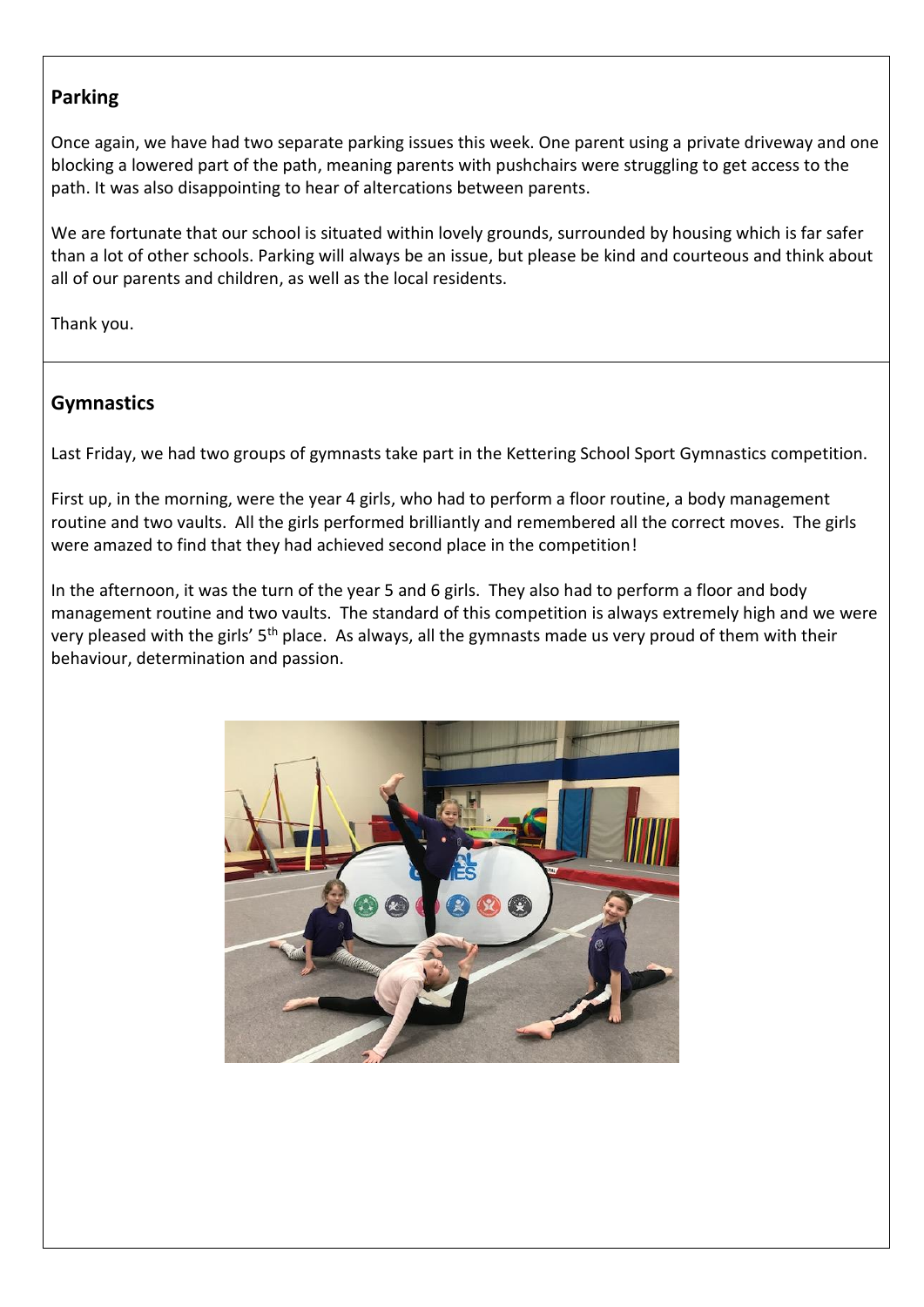### **Parking**

Once again, we have had two separate parking issues this week. One parent using a private driveway and one blocking a lowered part of the path, meaning parents with pushchairs were struggling to get access to the path. It was also disappointing to hear of altercations between parents.

We are fortunate that our school is situated within lovely grounds, surrounded by housing which is far safer than a lot of other schools. Parking will always be an issue, but please be kind and courteous and think about all of our parents and children, as well as the local residents.

Thank you.

#### **Gymnastics**

Last Friday, we had two groups of gymnasts take part in the Kettering School Sport Gymnastics competition.

First up, in the morning, were the year 4 girls, who had to perform a floor routine, a body management routine and two vaults. All the girls performed brilliantly and remembered all the correct moves. The girls were amazed to find that they had achieved second place in the competition!

In the afternoon, it was the turn of the year 5 and 6 girls. They also had to perform a floor and body management routine and two vaults. The standard of this competition is always extremely high and we were very pleased with the girls' 5<sup>th</sup> place. As always, all the gymnasts made us very proud of them with their behaviour, determination and passion.

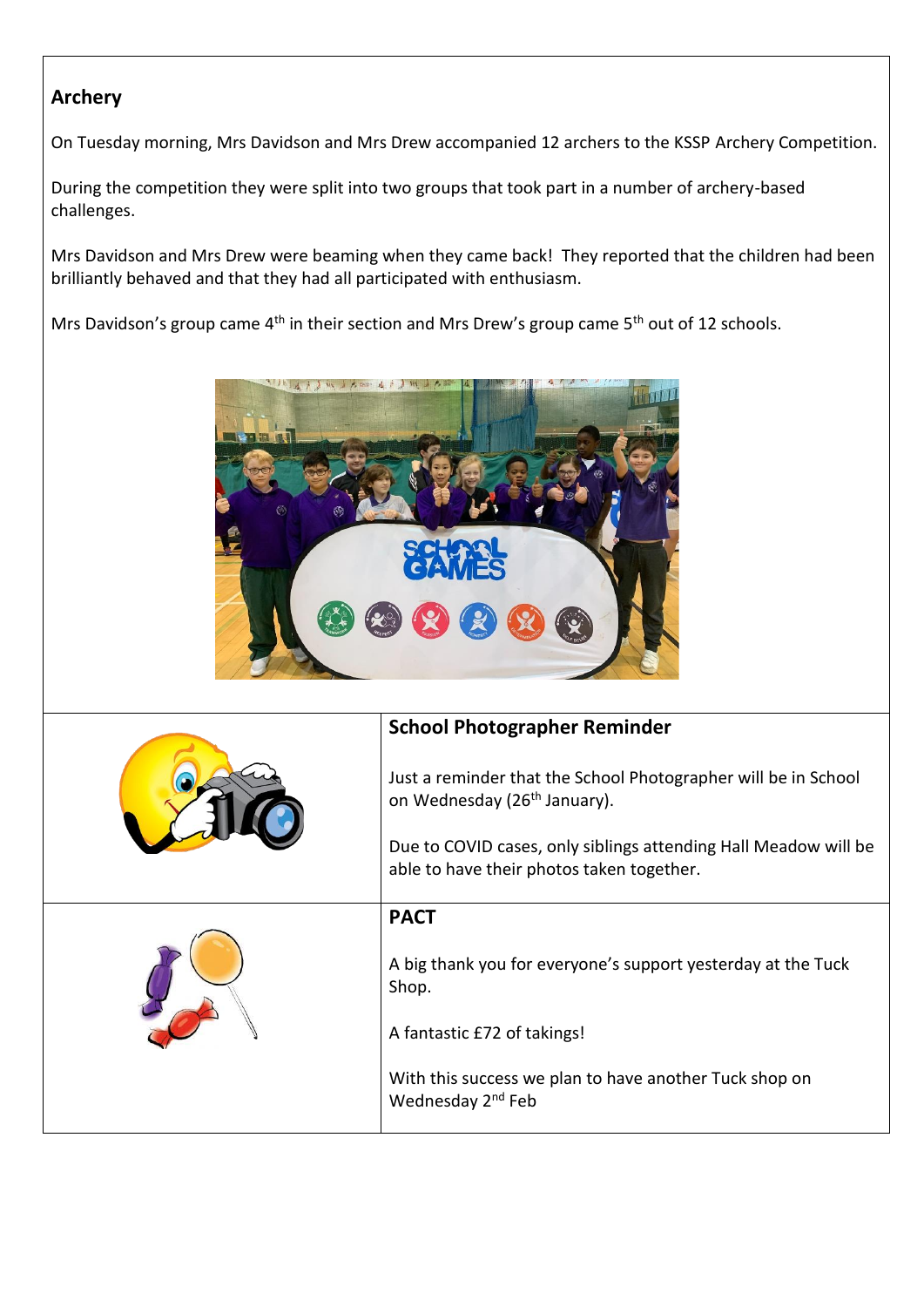# **Archery**

On Tuesday morning, Mrs Davidson and Mrs Drew accompanied 12 archers to the KSSP Archery Competition.

During the competition they were split into two groups that took part in a number of archery-based challenges.

Mrs Davidson and Mrs Drew were beaming when they came back! They reported that the children had been brilliantly behaved and that they had all participated with enthusiasm.

Mrs Davidson's group came 4<sup>th</sup> in their section and Mrs Drew's group came 5<sup>th</sup> out of 12 schools.



| <b>School Photographer Reminder</b>                                                                          |
|--------------------------------------------------------------------------------------------------------------|
| Just a reminder that the School Photographer will be in School<br>on Wednesday (26 <sup>th</sup> January).   |
| Due to COVID cases, only siblings attending Hall Meadow will be<br>able to have their photos taken together. |
| <b>PACT</b>                                                                                                  |
| A big thank you for everyone's support yesterday at the Tuck<br>Shop.                                        |
| A fantastic £72 of takings!                                                                                  |
| With this success we plan to have another Tuck shop on<br>Wednesday 2 <sup>nd</sup> Feb                      |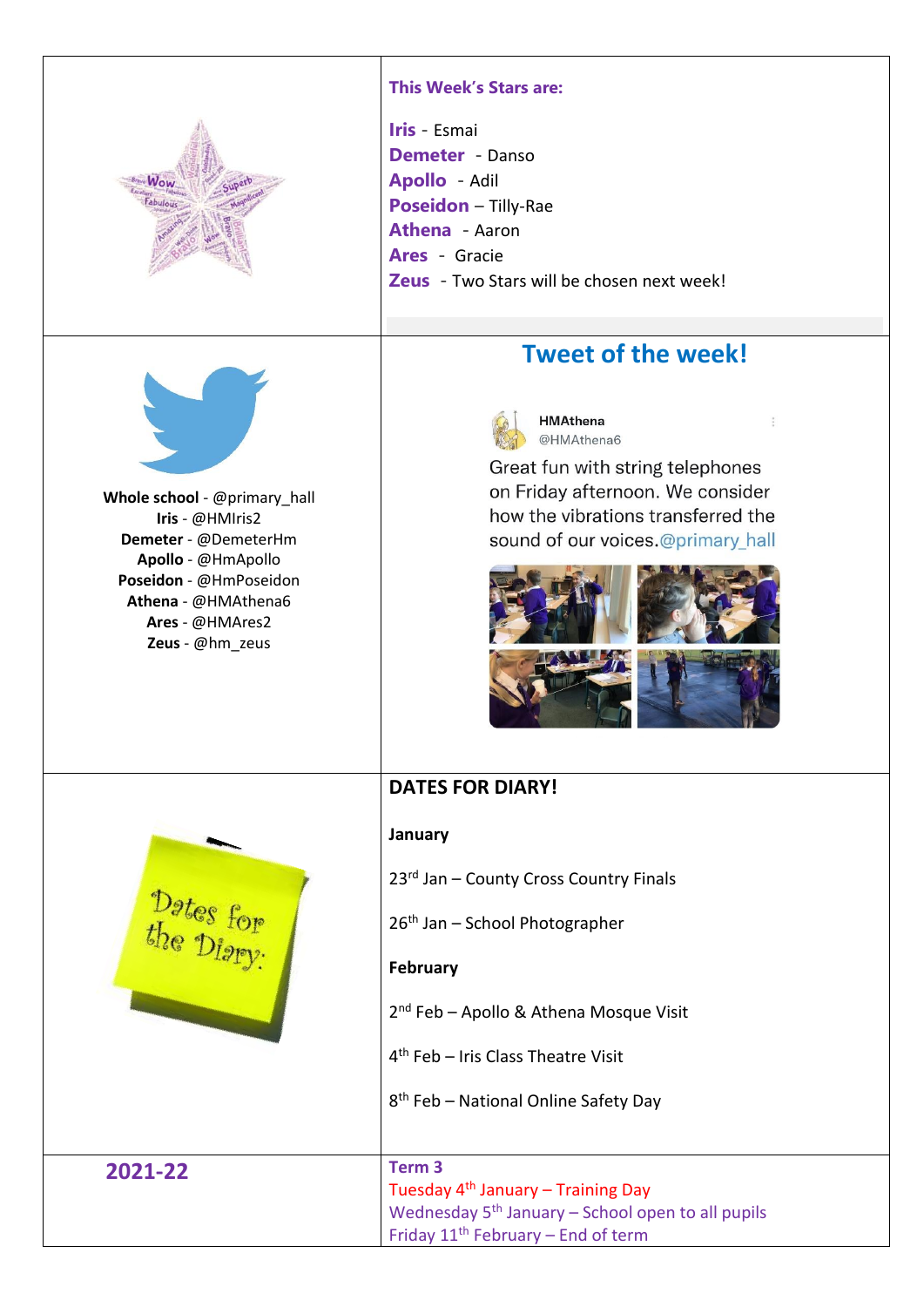